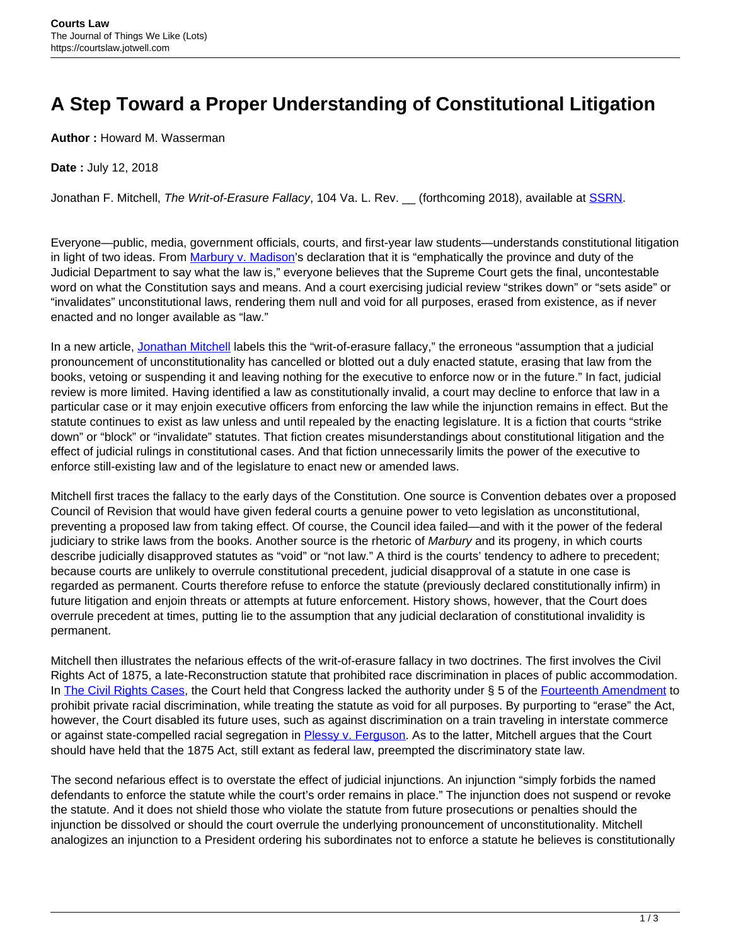## **A Step Toward a Proper Understanding of Constitutional Litigation**

**Author :** Howard M. Wasserman

## **Date :** July 12, 2018

Jonathan F. Mitchell, The Writ-of-Erasure Fallacy, 104 Va. L. Rev. \_\_ (forthcoming 2018), available at [SSRN.](https://papers.ssrn.com/sol3/papers.cfm?abstract_id=3158038)

Everyone—public, media, government officials, courts, and first-year law students—understands constitutional litigation in light of two ideas. From [Marbury v. Madison](https://supreme.justia.com/cases/federal/us/5/137/)'s declaration that it is "emphatically the province and duty of the Judicial Department to say what the law is," everyone believes that the Supreme Court gets the final, uncontestable word on what the Constitution says and means. And a court exercising judicial review "strikes down" or "sets aside" or "invalidates" unconstitutional laws, rendering them null and void for all purposes, erased from existence, as if never enacted and no longer available as "law."

In a new article, [Jonathan Mitchell](http://hoover.academia.edu/JonathanMitchell) labels this the "writ-of-erasure fallacy," the erroneous "assumption that a judicial pronouncement of unconstitutionality has cancelled or blotted out a duly enacted statute, erasing that law from the books, vetoing or suspending it and leaving nothing for the executive to enforce now or in the future." In fact, judicial review is more limited. Having identified a law as constitutionally invalid, a court may decline to enforce that law in a particular case or it may enjoin executive officers from enforcing the law while the injunction remains in effect. But the statute continues to exist as law unless and until repealed by the enacting legislature. It is a fiction that courts "strike down" or "block" or "invalidate" statutes. That fiction creates misunderstandings about constitutional litigation and the effect of judicial rulings in constitutional cases. And that fiction unnecessarily limits the power of the executive to enforce still-existing law and of the legislature to enact new or amended laws.

Mitchell first traces the fallacy to the early days of the Constitution. One source is Convention debates over a proposed Council of Revision that would have given federal courts a genuine power to veto legislation as unconstitutional, preventing a proposed law from taking effect. Of course, the Council idea failed—and with it the power of the federal judiciary to strike laws from the books. Another source is the rhetoric of Marbury and its progeny, in which courts describe judicially disapproved statutes as "void" or "not law." A third is the courts' tendency to adhere to precedent; because courts are unlikely to overrule constitutional precedent, judicial disapproval of a statute in one case is regarded as permanent. Courts therefore refuse to enforce the statute (previously declared constitutionally infirm) in future litigation and enjoin threats or attempts at future enforcement. History shows, however, that the Court does overrule precedent at times, putting lie to the assumption that any judicial declaration of constitutional invalidity is permanent.

Mitchell then illustrates the nefarious effects of the writ-of-erasure fallacy in two doctrines. The first involves the Civil Rights Act of 1875, a late-Reconstruction statute that prohibited race discrimination in places of public accommodation. In [The Civil Rights Cases,](https://supreme.justia.com/cases/federal/us/109/3/case.html) the Court held that Congress lacked the authority under § 5 of the [Fourteenth Amendment](https://www.law.cornell.edu/constitution/amendmentxiv) to prohibit private racial discrimination, while treating the statute as void for all purposes. By purporting to "erase" the Act, however, the Court disabled its future uses, such as against discrimination on a train traveling in interstate commerce or against state-compelled racial segregation in [Plessy v. Ferguson.](https://supreme.justia.com/cases/federal/us/163/537/case.html) As to the latter, Mitchell argues that the Court should have held that the 1875 Act, still extant as federal law, preempted the discriminatory state law.

The second nefarious effect is to overstate the effect of judicial injunctions. An injunction "simply forbids the named defendants to enforce the statute while the court's order remains in place." The injunction does not suspend or revoke the statute. And it does not shield those who violate the statute from future prosecutions or penalties should the injunction be dissolved or should the court overrule the underlying pronouncement of unconstitutionality. Mitchell analogizes an injunction to a President ordering his subordinates not to enforce a statute he believes is constitutionally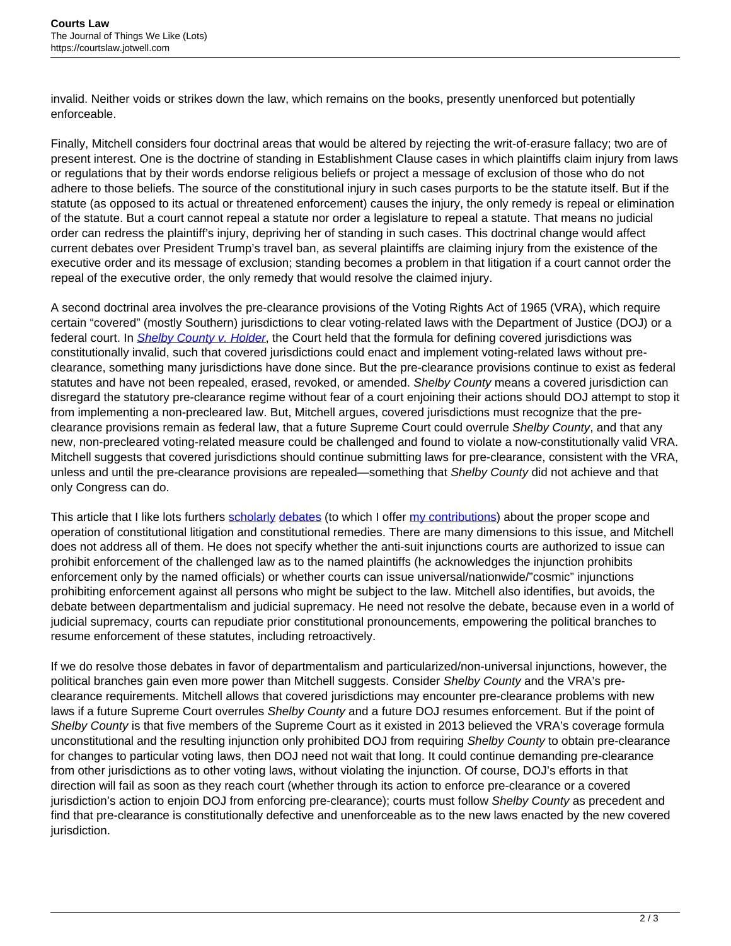invalid. Neither voids or strikes down the law, which remains on the books, presently unenforced but potentially enforceable.

Finally, Mitchell considers four doctrinal areas that would be altered by rejecting the writ-of-erasure fallacy; two are of present interest. One is the doctrine of standing in Establishment Clause cases in which plaintiffs claim injury from laws or regulations that by their words endorse religious beliefs or project a message of exclusion of those who do not adhere to those beliefs. The source of the constitutional injury in such cases purports to be the statute itself. But if the statute (as opposed to its actual or threatened enforcement) causes the injury, the only remedy is repeal or elimination of the statute. But a court cannot repeal a statute nor order a legislature to repeal a statute. That means no judicial order can redress the plaintiff's injury, depriving her of standing in such cases. This doctrinal change would affect current debates over President Trump's travel ban, as several plaintiffs are claiming injury from the existence of the executive order and its message of exclusion; standing becomes a problem in that litigation if a court cannot order the repeal of the executive order, the only remedy that would resolve the claimed injury.

A second doctrinal area involves the pre-clearance provisions of the Voting Rights Act of 1965 (VRA), which require certain "covered" (mostly Southern) jurisdictions to clear voting-related laws with the Department of Justice (DOJ) or a federal court. In *[Shelby County v. Holder](https://supreme.justia.com/cases/federal/us/570/12-96/opinion3.html)*, the Court held that the formula for defining covered jurisdictions was constitutionally invalid, such that covered jurisdictions could enact and implement voting-related laws without preclearance, something many jurisdictions have done since. But the pre-clearance provisions continue to exist as federal statutes and have not been repealed, erased, revoked, or amended. Shelby County means a covered jurisdiction can disregard the statutory pre-clearance regime without fear of a court enjoining their actions should DOJ attempt to stop it from implementing a non-precleared law. But, Mitchell argues, covered jurisdictions must recognize that the preclearance provisions remain as federal law, that a future Supreme Court could overrule Shelby County, and that any new, non-precleared voting-related measure could be challenged and found to violate a now-constitutionally valid VRA. Mitchell suggests that covered jurisdictions should continue submitting laws for pre-clearance, consistent with the VRA, unless and until the pre-clearance provisions are repealed—something that Shelby County did not achieve and that only Congress can do.

This article that I like lots furthers [scholarly](https://harvardlawreview.org/2017/12/multiple-chancellors-reforming-the-national-injunction/) [debates](https://papers.ssrn.com/sol3/papers.cfm?abstract_id=3112776) (to which I offer [my contributions\)](https://papers.ssrn.com/sol3/papers.cfm?abstract_id=3103017) about the proper scope and operation of constitutional litigation and constitutional remedies. There are many dimensions to this issue, and Mitchell does not address all of them. He does not specify whether the anti-suit injunctions courts are authorized to issue can prohibit enforcement of the challenged law as to the named plaintiffs (he acknowledges the injunction prohibits enforcement only by the named officials) or whether courts can issue universal/nationwide/"cosmic" injunctions prohibiting enforcement against all persons who might be subject to the law. Mitchell also identifies, but avoids, the debate between departmentalism and judicial supremacy. He need not resolve the debate, because even in a world of judicial supremacy, courts can repudiate prior constitutional pronouncements, empowering the political branches to resume enforcement of these statutes, including retroactively.

If we do resolve those debates in favor of departmentalism and particularized/non-universal injunctions, however, the political branches gain even more power than Mitchell suggests. Consider Shelby County and the VRA's preclearance requirements. Mitchell allows that covered jurisdictions may encounter pre-clearance problems with new laws if a future Supreme Court overrules Shelby County and a future DOJ resumes enforcement. But if the point of Shelby County is that five members of the Supreme Court as it existed in 2013 believed the VRA's coverage formula unconstitutional and the resulting injunction only prohibited DOJ from requiring Shelby County to obtain pre-clearance for changes to particular voting laws, then DOJ need not wait that long. It could continue demanding pre-clearance from other jurisdictions as to other voting laws, without violating the injunction. Of course, DOJ's efforts in that direction will fail as soon as they reach court (whether through its action to enforce pre-clearance or a covered jurisdiction's action to enjoin DOJ from enforcing pre-clearance); courts must follow Shelby County as precedent and find that pre-clearance is constitutionally defective and unenforceable as to the new laws enacted by the new covered jurisdiction.